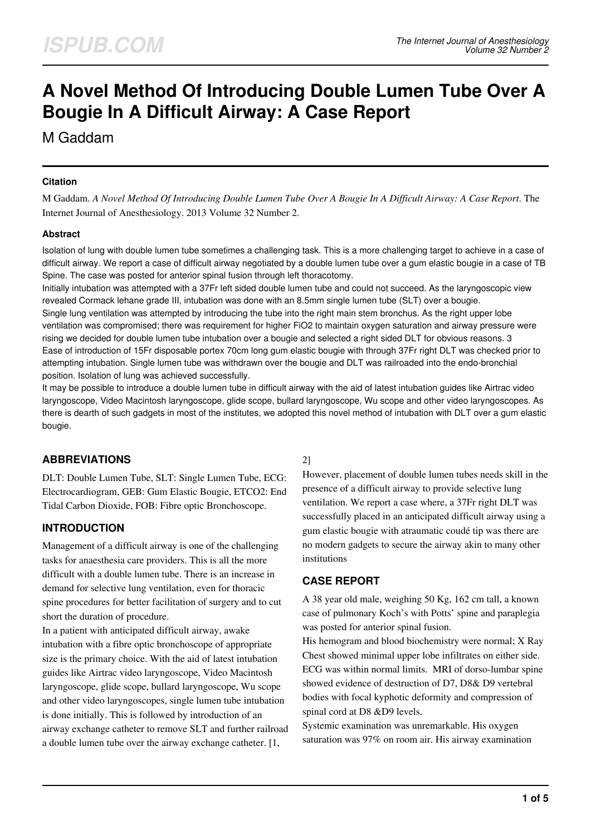# **A Novel Method Of Introducing Double Lumen Tube Over A Bougie In A Difficult Airway: A Case Report**

M Gaddam

#### **Citation**

M Gaddam. *A Novel Method Of Introducing Double Lumen Tube Over A Bougie In A Difficult Airway: A Case Report*. The Internet Journal of Anesthesiology. 2013 Volume 32 Number 2.

#### **Abstract**

Isolation of lung with double lumen tube sometimes a challenging task. This is a more challenging target to achieve in a case of difficult airway. We report a case of difficult airway negotiated by a double lumen tube over a gum elastic bougie in a case of TB Spine. The case was posted for anterior spinal fusion through left thoracotomy.

Initially intubation was attempted with a 37Fr left sided double lumen tube and could not succeed. As the laryngoscopic view revealed Cormack lehane grade III, intubation was done with an 8.5mm single lumen tube (SLT) over a bougie. Single lung ventilation was attempted by introducing the tube into the right main stem bronchus. As the right upper lobe ventilation was compromised; there was requirement for higher FiO2 to maintain oxygen saturation and airway pressure were rising we decided for double lumen tube intubation over a bougie and selected a right sided DLT for obvious reasons. 3 Ease of introduction of 15Fr disposable portex 70cm long gum elastic bougie with through 37Fr right DLT was checked prior to attempting intubation. Single lumen tube was withdrawn over the bougie and DLT was railroaded into the endo-bronchial position. Isolation of lung was achieved successfully.

It may be possible to introduce a double lumen tube in difficult airway with the aid of latest intubation guides like Airtrac video laryngoscope, Video Macintosh laryngoscope, glide scope, bullard laryngoscope, Wu scope and other video laryngoscopes. As there is dearth of such gadgets in most of the institutes, we adopted this novel method of intubation with DLT over a gum elastic bougie.

# **ABBREVIATIONS**

DLT: Double Lumen Tube, SLT: Single Lumen Tube, ECG: Electrocardiogram, GEB: Gum Elastic Bougie, ETCO2: End Tidal Carbon Dioxide, FOB: Fibre optic Bronchoscope.

# **INTRODUCTION**

Management of a difficult airway is one of the challenging tasks for anaesthesia care providers. This is all the more difficult with a double lumen tube. There is an increase in demand for selective lung ventilation, even for thoracic spine procedures for better facilitation of surgery and to cut short the duration of procedure.

In a patient with anticipated difficult airway, awake intubation with a fibre optic bronchoscope of appropriate size is the primary choice. With the aid of latest intubation guides like Airtrac video laryngoscope, Video Macintosh laryngoscope, glide scope, bullard laryngoscope, Wu scope and other video laryngoscopes, single lumen tube intubation is done initially. This is followed by introduction of an airway exchange catheter to remove SLT and further railroad a double lumen tube over the airway exchange catheter. [1,

#### 2]

However, placement of double lumen tubes needs skill in the presence of a difficult airway to provide selective lung ventilation. We report a case where, a 37Fr right DLT was successfully placed in an anticipated difficult airway using a gum elastic bougie with atraumatic coudé tip was there are no modern gadgets to secure the airway akin to many other institutions

## **CASE REPORT**

A 38 year old male, weighing 50 Kg, 162 cm tall, a known case of pulmonary Koch's with Potts' spine and paraplegia was posted for anterior spinal fusion.

His hemogram and blood biochemistry were normal; X Ray Chest showed minimal upper lobe infiltrates on either side. ECG was within normal limits. MRI of dorso-lumbar spine showed evidence of destruction of D7, D8& D9 vertebral bodies with focal kyphotic deformity and compression of spinal cord at D8 &D9 levels.

Systemic examination was unremarkable. His oxygen saturation was 97% on room air. His airway examination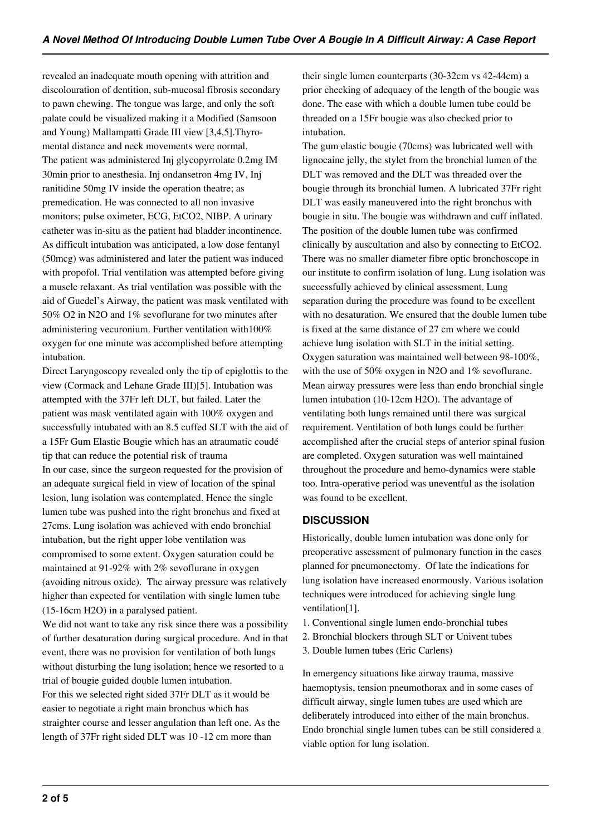revealed an inadequate mouth opening with attrition and discolouration of dentition, sub-mucosal fibrosis secondary to pawn chewing. The tongue was large, and only the soft palate could be visualized making it a Modified (Samsoon and Young) Mallampatti Grade III view [3,4,5].Thyromental distance and neck movements were normal. The patient was administered Inj glycopyrrolate 0.2mg IM 30min prior to anesthesia. Inj ondansetron 4mg IV, Inj ranitidine 50mg IV inside the operation theatre; as premedication. He was connected to all non invasive monitors; pulse oximeter, ECG, EtCO2, NIBP. A urinary catheter was in-situ as the patient had bladder incontinence. As difficult intubation was anticipated, a low dose fentanyl (50mcg) was administered and later the patient was induced with propofol. Trial ventilation was attempted before giving a muscle relaxant. As trial ventilation was possible with the aid of Guedel's Airway, the patient was mask ventilated with 50% O2 in N2O and 1% sevoflurane for two minutes after administering vecuronium. Further ventilation with100% oxygen for one minute was accomplished before attempting intubation.

Direct Laryngoscopy revealed only the tip of epiglottis to the view (Cormack and Lehane Grade III)[5]. Intubation was attempted with the 37Fr left DLT, but failed. Later the patient was mask ventilated again with 100% oxygen and successfully intubated with an 8.5 cuffed SLT with the aid of a 15Fr Gum Elastic Bougie which has an atraumatic coudé tip that can reduce the potential risk of trauma In our case, since the surgeon requested for the provision of an adequate surgical field in view of location of the spinal lesion, lung isolation was contemplated. Hence the single lumen tube was pushed into the right bronchus and fixed at 27cms. Lung isolation was achieved with endo bronchial intubation, but the right upper lobe ventilation was compromised to some extent. Oxygen saturation could be maintained at 91-92% with 2% sevoflurane in oxygen (avoiding nitrous oxide). The airway pressure was relatively higher than expected for ventilation with single lumen tube (15-16cm H2O) in a paralysed patient.

We did not want to take any risk since there was a possibility of further desaturation during surgical procedure. And in that event, there was no provision for ventilation of both lungs without disturbing the lung isolation; hence we resorted to a trial of bougie guided double lumen intubation. For this we selected right sided 37Fr DLT as it would be easier to negotiate a right main bronchus which has straighter course and lesser angulation than left one. As the length of 37Fr right sided DLT was 10 -12 cm more than

their single lumen counterparts (30-32cm vs 42-44cm) a prior checking of adequacy of the length of the bougie was done. The ease with which a double lumen tube could be threaded on a 15Fr bougie was also checked prior to intubation.

The gum elastic bougie (70cms) was lubricated well with lignocaine jelly, the stylet from the bronchial lumen of the DLT was removed and the DLT was threaded over the bougie through its bronchial lumen. A lubricated 37Fr right DLT was easily maneuvered into the right bronchus with bougie in situ. The bougie was withdrawn and cuff inflated. The position of the double lumen tube was confirmed clinically by auscultation and also by connecting to EtCO2. There was no smaller diameter fibre optic bronchoscope in our institute to confirm isolation of lung. Lung isolation was successfully achieved by clinical assessment. Lung separation during the procedure was found to be excellent with no desaturation. We ensured that the double lumen tube is fixed at the same distance of 27 cm where we could achieve lung isolation with SLT in the initial setting. Oxygen saturation was maintained well between 98-100%, with the use of 50% oxygen in N2O and 1% sevoflurane. Mean airway pressures were less than endo bronchial single lumen intubation (10-12cm H2O). The advantage of ventilating both lungs remained until there was surgical requirement. Ventilation of both lungs could be further accomplished after the crucial steps of anterior spinal fusion are completed. Oxygen saturation was well maintained throughout the procedure and hemo-dynamics were stable too. Intra-operative period was uneventful as the isolation was found to be excellent.

## **DISCUSSION**

Historically, double lumen intubation was done only for preoperative assessment of pulmonary function in the cases planned for pneumonectomy. Of late the indications for lung isolation have increased enormously. Various isolation techniques were introduced for achieving single lung ventilation[1].

- 1. Conventional single lumen endo-bronchial tubes
- 2. Bronchial blockers through SLT or Univent tubes
- 3. Double lumen tubes (Eric Carlens)

In emergency situations like airway trauma, massive haemoptysis, tension pneumothorax and in some cases of difficult airway, single lumen tubes are used which are deliberately introduced into either of the main bronchus. Endo bronchial single lumen tubes can be still considered a viable option for lung isolation.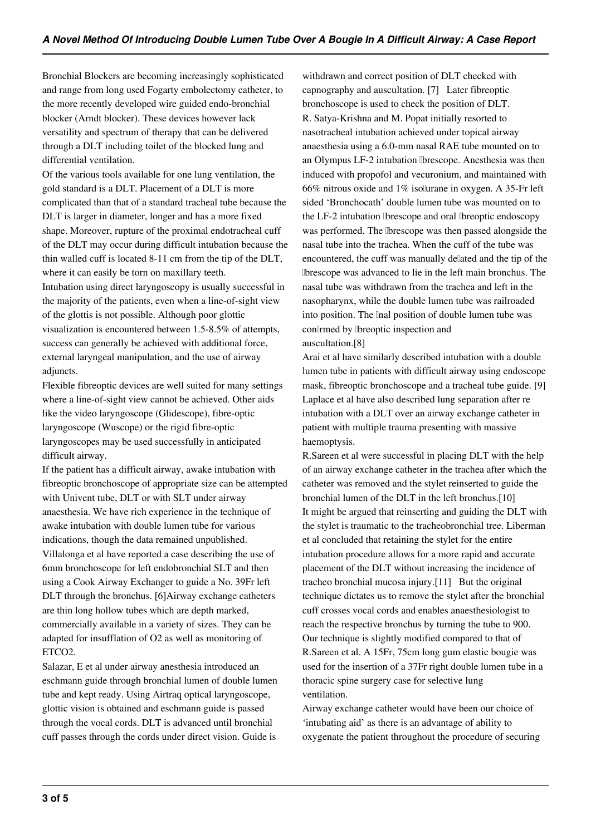Bronchial Blockers are becoming increasingly sophisticated and range from long used Fogarty embolectomy catheter, to the more recently developed wire guided endo-bronchial blocker (Arndt blocker). These devices however lack versatility and spectrum of therapy that can be delivered through a DLT including toilet of the blocked lung and differential ventilation.

Of the various tools available for one lung ventilation, the gold standard is a DLT. Placement of a DLT is more complicated than that of a standard tracheal tube because the DLT is larger in diameter, longer and has a more fixed shape. Moreover, rupture of the proximal endotracheal cuff of the DLT may occur during difficult intubation because the thin walled cuff is located 8-11 cm from the tip of the DLT, where it can easily be torn on maxillary teeth. Intubation using direct laryngoscopy is usually successful in the majority of the patients, even when a line-of-sight view of the glottis is not possible. Although poor glottic visualization is encountered between 1.5-8.5% of attempts, success can generally be achieved with additional force, external laryngeal manipulation, and the use of airway adjuncts.

Flexible fibreoptic devices are well suited for many settings where a line-of-sight view cannot be achieved. Other aids like the video laryngoscope (Glidescope), fibre-optic laryngoscope (Wuscope) or the rigid fibre-optic laryngoscopes may be used successfully in anticipated difficult airway.

If the patient has a difficult airway, awake intubation with fibreoptic bronchoscope of appropriate size can be attempted with Univent tube, DLT or with SLT under airway anaesthesia. We have rich experience in the technique of awake intubation with double lumen tube for various indications, though the data remained unpublished. Villalonga et al have reported a case describing the use of 6mm bronchoscope for left endobronchial SLT and then using a Cook Airway Exchanger to guide a No. 39Fr left DLT through the bronchus. [6]Airway exchange catheters are thin long hollow tubes which are depth marked, commercially available in a variety of sizes. They can be adapted for insufflation of O2 as well as monitoring of ETCO2.

Salazar, E et al under airway anesthesia introduced an eschmann guide through bronchial lumen of double lumen tube and kept ready. Using Airtraq optical laryngoscope, glottic vision is obtained and eschmann guide is passed through the vocal cords. DLT is advanced until bronchial cuff passes through the cords under direct vision. Guide is

withdrawn and correct position of DLT checked with capnography and auscultation. [7] Later fibreoptic bronchoscope is used to check the position of DLT. R. Satya-Krishna and M. Popat initially resorted to nasotracheal intubation achieved under topical airway anaesthesia using a 6.0-mm nasal RAE tube mounted on to an Olympus LF-2 intubation fibrescope. Anesthesia was then induced with propofol and vecuronium, and maintained with 66% nitrous oxide and 1% isoflurane in oxygen. A 35-Fr left sided 'Bronchocath' double lumen tube was mounted on to the LF-2 intubation fibrescope and oral fibreoptic endoscopy was performed. The *bescope* was then passed alongside the nasal tube into the trachea. When the cuff of the tube was encountered, the cuff was manually deflated and the tip of the fibrescope was advanced to lie in the left main bronchus. The nasal tube was withdrawn from the trachea and left in the nasopharynx, while the double lumen tube was railroaded into position. The linal position of double lumen tube was con<sup>[1</sup>rmed by [breoptic inspection and auscultation.[8]

Arai et al have similarly described intubation with a double lumen tube in patients with difficult airway using endoscope mask, fibreoptic bronchoscope and a tracheal tube guide. [9] Laplace et al have also described lung separation after re intubation with a DLT over an airway exchange catheter in patient with multiple trauma presenting with massive haemoptysis.

R.Sareen et al were successful in placing DLT with the help of an airway exchange catheter in the trachea after which the catheter was removed and the stylet reinserted to guide the bronchial lumen of the DLT in the left bronchus.[10] It might be argued that reinserting and guiding the DLT with the stylet is traumatic to the tracheobronchial tree. Liberman et al concluded that retaining the stylet for the entire intubation procedure allows for a more rapid and accurate placement of the DLT without increasing the incidence of tracheo bronchial mucosa injury.[11] But the original technique dictates us to remove the stylet after the bronchial cuff crosses vocal cords and enables anaesthesiologist to reach the respective bronchus by turning the tube to 900. Our technique is slightly modified compared to that of R.Sareen et al. A 15Fr, 75cm long gum elastic bougie was used for the insertion of a 37Fr right double lumen tube in a thoracic spine surgery case for selective lung ventilation.

Airway exchange catheter would have been our choice of 'intubating aid' as there is an advantage of ability to oxygenate the patient throughout the procedure of securing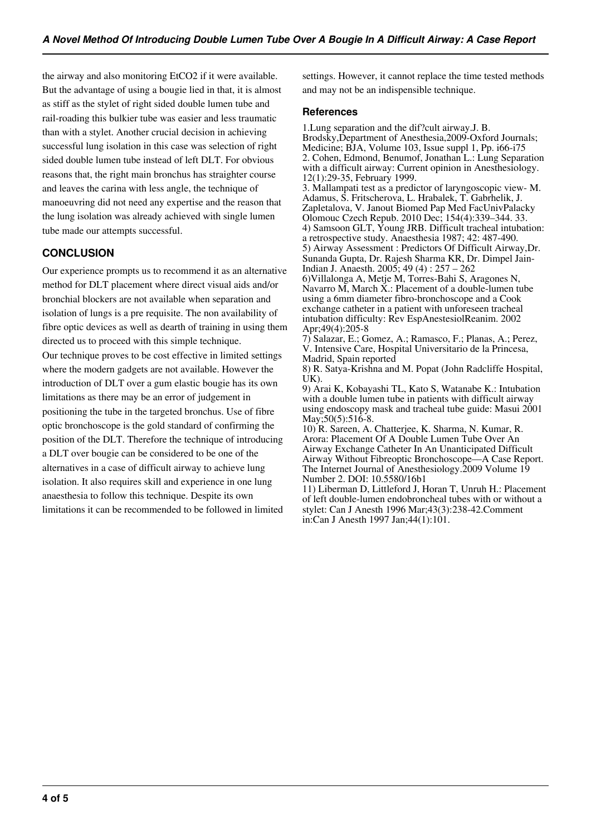the airway and also monitoring EtCO2 if it were available. But the advantage of using a bougie lied in that, it is almost as stiff as the stylet of right sided double lumen tube and rail-roading this bulkier tube was easier and less traumatic than with a stylet. Another crucial decision in achieving successful lung isolation in this case was selection of right sided double lumen tube instead of left DLT. For obvious reasons that, the right main bronchus has straighter course and leaves the carina with less angle, the technique of manoeuvring did not need any expertise and the reason that the lung isolation was already achieved with single lumen tube made our attempts successful.

## **CONCLUSION**

Our experience prompts us to recommend it as an alternative method for DLT placement where direct visual aids and/or bronchial blockers are not available when separation and isolation of lungs is a pre requisite. The non availability of fibre optic devices as well as dearth of training in using them directed us to proceed with this simple technique. Our technique proves to be cost effective in limited settings where the modern gadgets are not available. However the introduction of DLT over a gum elastic bougie has its own limitations as there may be an error of judgement in positioning the tube in the targeted bronchus. Use of fibre optic bronchoscope is the gold standard of confirming the position of the DLT. Therefore the technique of introducing a DLT over bougie can be considered to be one of the alternatives in a case of difficult airway to achieve lung isolation. It also requires skill and experience in one lung anaesthesia to follow this technique. Despite its own limitations it can be recommended to be followed in limited

settings. However, it cannot replace the time tested methods and may not be an indispensible technique.

#### **References**

1.Lung separation and the dif?cult airway.J. B. Brodsky,Department of Anesthesia,2009-Oxford Journals; Medicine; BJA, Volume 103, Issue suppl 1, Pp. i66-i75 2. Cohen, Edmond, Benumof, Jonathan L.: Lung Separation with a difficult airway: Current opinion in Anesthesiology. 12(1):29-35, February 1999.

3. Mallampati test as a predictor of laryngoscopic view- M. Adamus, S. Fritscherova, L. Hrabalek, T. Gabrhelik, J. Zapletalova, V. Janout Biomed Pap Med FacUnivPalacky Olomouc Czech Repub. 2010 Dec; 154(4):339–344. 33. 4) Samsoon GLT, Young JRB. Difficult tracheal intubation: a retrospective study. Anaesthesia 1987; 42: 487-490. 5) Airway Assessment : Predictors Of Difficult Airway,Dr. Sunanda Gupta, Dr. Rajesh Sharma KR, Dr. Dimpel Jain-Indian J. Anaesth. 2005; 49 (4) : 257 – 262

6)Villalonga A, Metje M, Torres-Bahi S, Aragones N, Navarro M, March X.: Placement of a double-lumen tube using a 6mm diameter fibro-bronchoscope and a Cook exchange catheter in a patient with unforeseen tracheal intubation difficulty: Rev EspAnestesiolReanim. 2002 Apr;49(4):205-8

7) Salazar, E.; Gomez, A.; Ramasco, F.; Planas, A.; Perez, V. Intensive Care, Hospital Universitario de la Princesa, Madrid, Spain reported

8) R. Satya-Krishna and M. Popat (John Radcliffe Hospital, UK).

9) Arai K, Kobayashi TL, Kato S, Watanabe K.: Intubation with a double lumen tube in patients with difficult airway using endoscopy mask and tracheal tube guide: Masui 2001 May; 50(5): 516-8.

10) R. Sareen, A. Chatterjee, K. Sharma, N. Kumar, R. Arora: Placement Of A Double Lumen Tube Over An Airway Exchange Catheter In An Unanticipated Difficult Airway Without Fibreoptic Bronchoscope—A Case Report. The Internet Journal of Anesthesiology.2009 Volume 19 Number 2. DOI: 10.5580/16b1

11) Liberman D, Littleford J, Horan T, Unruh H.: Placement of left double-lumen endobroncheal tubes with or without a stylet: Can J Anesth 1996 Mar;43(3):238-42.Comment in:Can J Anesth 1997 Jan;44(1):101.